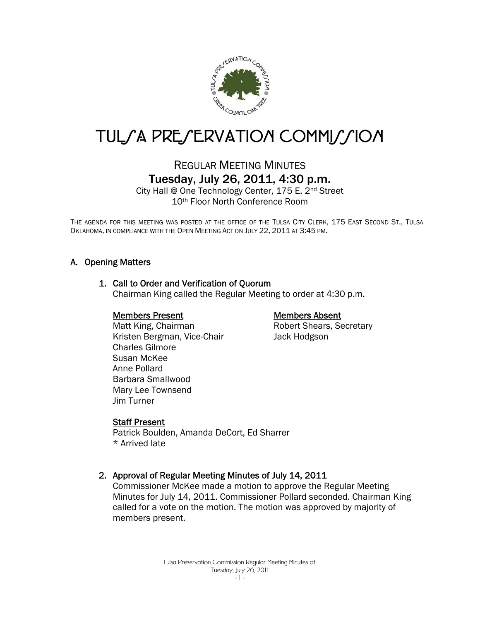

# TUL/A PRE/ERVATION COMMI//ION

## REGULAR MEETING MINUTES Tuesday, July 26, 2011, 4:30 p.m.

City Hall @ One Technology Center, 175 E. 2nd Street 10th Floor North Conference Room

THE AGENDA FOR THIS MEETING WAS POSTED AT THE OFFICE OF THE TULSA CITY CLERK, 175 EAST SECOND ST., TULSA OKLAHOMA, IN COMPLIANCE WITH THE OPEN MEETING ACT ON JULY 22, 2011 AT 3:45 PM.

## A. Opening Matters

#### 1. Call to Order and Verification of Quorum

Chairman King called the Regular Meeting to order at 4:30 p.m.

#### Members Present

## Members Absent

Robert Shears, Secretary Jack Hodgson

 Matt King, Chairman Kristen Bergman, Vice-Chair Charles Gilmore Susan McKee Anne Pollard Barbara Smallwood Mary Lee Townsend Jim Turner

#### Staff Present

Patrick Boulden, Amanda DeCort, Ed Sharrer \* Arrived late

## 2. Approval of Regular Meeting Minutes of July 14, 2011

Commissioner McKee made a motion to approve the Regular Meeting Minutes for July 14, 2011. Commissioner Pollard seconded. Chairman King called for a vote on the motion. The motion was approved by majority of members present.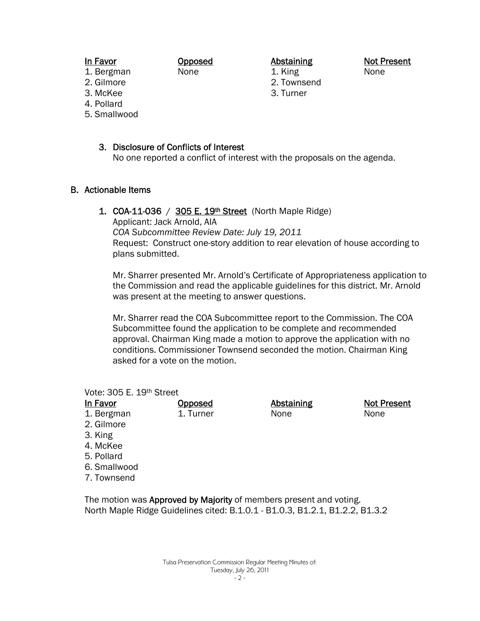#### In Favor

Opposed None

Abstaining

1. King 2. Townsend 3. Turner

Not Present None

Not Present

None

- 1. Bergman 2. Gilmore
- 3. McKee
- 4. Pollard
- 5. Smallwood

## 3. Disclosure of Conflicts of Interest

No one reported a conflict of interest with the proposals on the agenda.

## B. Actionable Items

1. COA-11-036 / 305 E. 19th Street (North Maple Ridge)

Opposed 1. Turner

Applicant: Jack Arnold, AIA

*COA Subcommittee Review Date: July 19, 2011*  Request: Construct one-story addition to rear elevation of house according to plans submitted.

Mr. Sharrer presented Mr. Arnold's Certificate of Appropriateness application to the Commission and read the applicable guidelines for this district. Mr. Arnold was present at the meeting to answer questions.

Mr. Sharrer read the COA Subcommittee report to the Commission. The COA Subcommittee found the application to be complete and recommended approval. Chairman King made a motion to approve the application with no conditions. Commissioner Townsend seconded the motion. Chairman King asked for a vote on the motion.

> Abstaining None

Vote: 305 E. 19th Street In Favor

| ın Favor |  |
|----------|--|
| Raroman  |  |

- 1. Bergman 2. Gilmore
- 3. King
- 4. McKee
- 5. Pollard
- 6. Smallwood
- 
- 7. Townsend

The motion was Approved by Majority of members present and voting. North Maple Ridge Guidelines cited: B.1.0.1 - B1.0.3, B1.2.1, B1.2.2, B1.3.2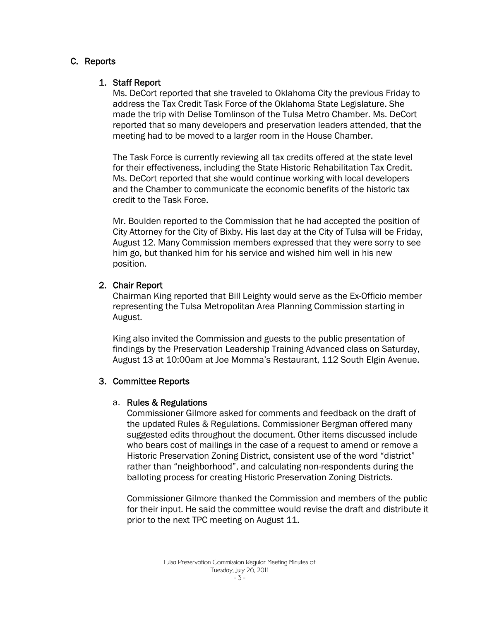## C. Reports

## 1. Staff Report

Ms. DeCort reported that she traveled to Oklahoma City the previous Friday to address the Tax Credit Task Force of the Oklahoma State Legislature. She made the trip with Delise Tomlinson of the Tulsa Metro Chamber. Ms. DeCort reported that so many developers and preservation leaders attended, that the meeting had to be moved to a larger room in the House Chamber.

The Task Force is currently reviewing all tax credits offered at the state level for their effectiveness, including the State Historic Rehabilitation Tax Credit. Ms. DeCort reported that she would continue working with local developers and the Chamber to communicate the economic benefits of the historic tax credit to the Task Force.

Mr. Boulden reported to the Commission that he had accepted the position of City Attorney for the City of Bixby. His last day at the City of Tulsa will be Friday, August 12. Many Commission members expressed that they were sorry to see him go, but thanked him for his service and wished him well in his new position.

## 2. Chair Report

Chairman King reported that Bill Leighty would serve as the Ex-Officio member representing the Tulsa Metropolitan Area Planning Commission starting in August.

King also invited the Commission and guests to the public presentation of findings by the Preservation Leadership Training Advanced class on Saturday, August 13 at 10:00am at Joe Momma's Restaurant, 112 South Elgin Avenue.

## 3. Committee Reports

## a. Rules & Regulations

Commissioner Gilmore asked for comments and feedback on the draft of the updated Rules & Regulations. Commissioner Bergman offered many suggested edits throughout the document. Other items discussed include who bears cost of mailings in the case of a request to amend or remove a Historic Preservation Zoning District, consistent use of the word "district" rather than "neighborhood", and calculating non-respondents during the balloting process for creating Historic Preservation Zoning Districts.

Commissioner Gilmore thanked the Commission and members of the public for their input. He said the committee would revise the draft and distribute it prior to the next TPC meeting on August 11.